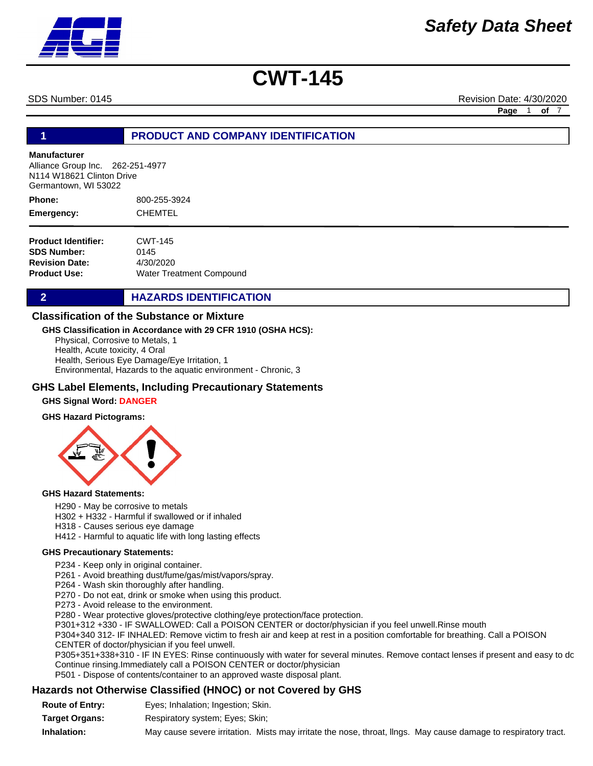SDS Number: 0145 Revision Date: 4/30/2020

**Page** 1 **of** 7

#### **1 PRODUCT AND COMPANY IDENTIFICATION**

#### **Manufacturer**

Alliance Group Inc. 262-251-4977 N114 W18621 Clinton Drive Germantown, WI 53022

800-255-3924 CHEMTEL **Phone: Emergency:**

| CWT-145                         |
|---------------------------------|
| 0145                            |
| 4/30/2020                       |
| <b>Water Treatment Compound</b> |
|                                 |

#### **2 HAZARDS IDENTIFICATION**

#### **Classification of the Substance or Mixture**

#### **GHS Classification in Accordance with 29 CFR 1910 (OSHA HCS):**

Physical, Corrosive to Metals, 1 Health, Acute toxicity, 4 Oral Health, Serious Eye Damage/Eye Irritation, 1 Environmental, Hazards to the aquatic environment - Chronic, 3

#### **GHS Label Elements, Including Precautionary Statements**

#### **GHS Signal Word: DANGER**

#### **GHS Hazard Pictograms:**



#### **GHS Hazard Statements:**

H290 - May be corrosive to metals

H302 + H332 - Harmful if swallowed or if inhaled

- H318 Causes serious eye damage
- H412 Harmful to aquatic life with long lasting effects

#### **GHS Precautionary Statements:**

P234 - Keep only in original container.

- P261 Avoid breathing dust/fume/gas/mist/vapors/spray.
- P264 Wash skin thoroughly after handling.
- P270 Do not eat, drink or smoke when using this product.
- P273 Avoid release to the environment.

P280 - Wear protective gloves/protective clothing/eye protection/face protection.

P301+312 +330 - IF SWALLOWED: Call a POISON CENTER or doctor/physician if you feel unwell.Rinse mouth

P304+340 312- IF INHALED: Remove victim to fresh air and keep at rest in a position comfortable for breathing. Call a POISON

CENTER of doctor/physician if you feel unwell.

P305+351+338+310 - IF IN EYES: Rinse continuously with water for several minutes. Remove contact lenses if present and easy to dc Continue rinsing.Immediately call a POISON CENTER or doctor/physician

P501 - Dispose of contents/container to an approved waste disposal plant.

#### **Hazards not Otherwise Classified (HNOC) or not Covered by GHS**

| <b>Route of Entry:</b> | Eyes; Inhalation; Ingestion; Skin.                                                                              |
|------------------------|-----------------------------------------------------------------------------------------------------------------|
| <b>Target Organs:</b>  | Respiratory system; Eyes; Skin;                                                                                 |
| Inhalation:            | May cause severe irritation. Mists may irritate the nose, throat, lings. May cause damage to respiratory tract. |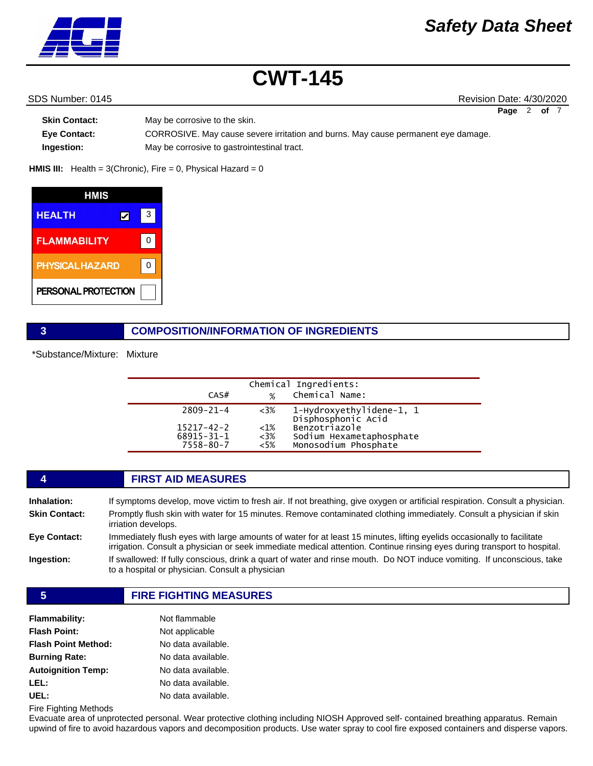

SDS Number: 0145 Revision Date: 4/30/2020 **Page** 2 **of** 7

| Skin Contact:       | May be corrosive to the skin.                                                     |
|---------------------|-----------------------------------------------------------------------------------|
| <b>Eve Contact:</b> | CORROSIVE. May cause severe irritation and burns. May cause permanent eye damage. |
| Ingestion:          | May be corrosive to gastrointestinal tract.                                       |

**HMIS III:** Health = 3(Chronic), Fire = 0, Physical Hazard = 0

| HMIS                   |   |   |
|------------------------|---|---|
| <b>HEALTH</b>          | レ | 3 |
| <b>FLAMMABILITY</b>    |   |   |
| <b>PHYSICAL HAZARD</b> |   |   |
| PERSONAL PROTECTION    |   |   |

### **3 COMPOSITION/INFORMATION OF INGREDIENTS**

\*Substance/Mixture: Mixture

| CAS#                                                                 | $\frac{9}{6}$                        | Chemical Ingredients:<br>Chemical Name:                                                                             |
|----------------------------------------------------------------------|--------------------------------------|---------------------------------------------------------------------------------------------------------------------|
| $2809 - 21 - 4$<br>$15217 - 42 - 2$<br>$68915 - 31 - 1$<br>7558-80-7 | $<3\%$<br>$<1\%$<br>$<3\%$<br>$<5\%$ | 1-Hydroxyethylidene-1, 1<br>Disphosphonic Acid<br>Benzotriazole<br>Sodium Hexametaphosphate<br>Monosodium Phosphate |

#### **4 FIRST AID MEASURES**

| Inhalation:          | If symptoms develop, move victim to fresh air. If not breathing, give oxygen or artificial respiration. Consult a physician.                                                                                                                       |
|----------------------|----------------------------------------------------------------------------------------------------------------------------------------------------------------------------------------------------------------------------------------------------|
| <b>Skin Contact:</b> | Promptly flush skin with water for 15 minutes. Remove contaminated clothing immediately. Consult a physician if skin<br>irriation develops.                                                                                                        |
| <b>Eve Contact:</b>  | Immediately flush eyes with large amounts of water for at least 15 minutes, lifting eyelids occasionally to facilitate<br>irrigation. Consult a physician or seek immediate medical attention. Continue rinsing eyes during transport to hospital. |
| Ingestion:           | If swallowed: If fully conscious, drink a quart of water and rinse mouth. Do NOT induce vomiting. If unconscious, take<br>to a hospital or physician. Consult a physician                                                                          |
|                      |                                                                                                                                                                                                                                                    |

#### **5 FIRE FIGHTING MEASURES**

| <b>Flammability:</b>       | Not flammable      |
|----------------------------|--------------------|
| <b>Flash Point:</b>        | Not applicable     |
| <b>Flash Point Method:</b> | No data available. |
| <b>Burning Rate:</b>       | No data available. |
| <b>Autoignition Temp:</b>  | No data available. |
| LEL:                       | No data available. |
| UEL:                       | No data available. |

Fire Fighting Methods

Evacuate area of unprotected personal. Wear protective clothing including NIOSH Approved self- contained breathing apparatus. Remain upwind of fire to avoid hazardous vapors and decomposition products. Use water spray to cool fire exposed containers and disperse vapors.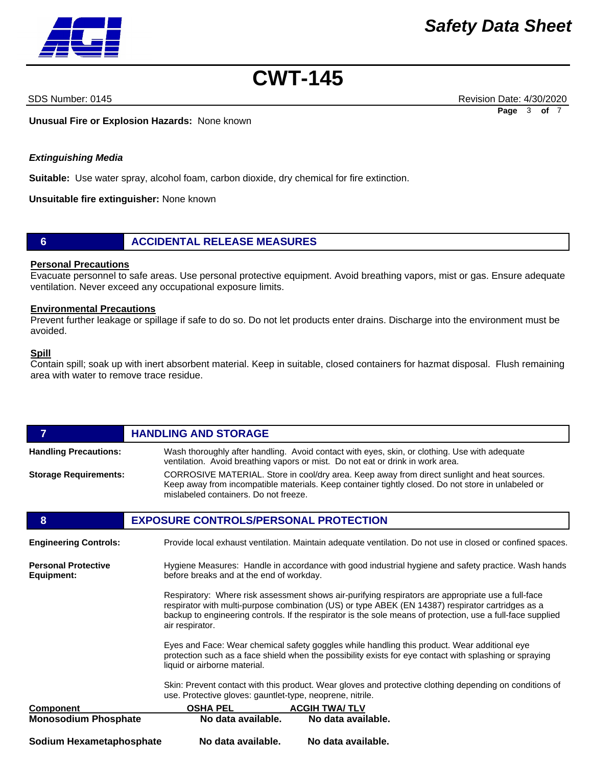

SDS Number: 0145 Revision Date: 4/30/2020 **Page** 3 **of** 7

**Unusual Fire or Explosion Hazards:** None known

#### *Extinguishing Media*

**Suitable:** Use water spray, alcohol foam, carbon dioxide, dry chemical for fire extinction.

**Unsuitable fire extinguisher:** None known

#### **6 ACCIDENTAL RELEASE MEASURES**

#### **Personal Precautions**

Evacuate personnel to safe areas. Use personal protective equipment. Avoid breathing vapors, mist or gas. Ensure adequate ventilation. Never exceed any occupational exposure limits.

#### **Environmental Precautions**

Prevent further leakage or spillage if safe to do so. Do not let products enter drains. Discharge into the environment must be avoided.

#### **Spill**

Contain spill; soak up with inert absorbent material. Keep in suitable, closed containers for hazmat disposal. Flush remaining area with water to remove trace residue.

| $\overline{7}$                                                                                                                                                                                                                          | <b>HANDLING AND STORAGE</b>                                                                                                                                                                                                                                                                                                               |  |  |
|-----------------------------------------------------------------------------------------------------------------------------------------------------------------------------------------------------------------------------------------|-------------------------------------------------------------------------------------------------------------------------------------------------------------------------------------------------------------------------------------------------------------------------------------------------------------------------------------------|--|--|
| <b>Handling Precautions:</b>                                                                                                                                                                                                            | Wash thoroughly after handling. Avoid contact with eyes, skin, or clothing. Use with adequate<br>ventilation. Avoid breathing vapors or mist. Do not eat or drink in work area.                                                                                                                                                           |  |  |
| <b>Storage Requirements:</b>                                                                                                                                                                                                            | CORROSIVE MATERIAL. Store in cool/dry area. Keep away from direct sunlight and heat sources.<br>Keep away from incompatible materials. Keep container tightly closed. Do not store in unlabeled or<br>mislabeled containers. Do not freeze.                                                                                               |  |  |
| 8                                                                                                                                                                                                                                       | <b>EXPOSURE CONTROLS/PERSONAL PROTECTION</b>                                                                                                                                                                                                                                                                                              |  |  |
| <b>Engineering Controls:</b>                                                                                                                                                                                                            | Provide local exhaust ventilation. Maintain adequate ventilation. Do not use in closed or confined spaces.                                                                                                                                                                                                                                |  |  |
| <b>Personal Protective</b><br>Equipment:                                                                                                                                                                                                | Hygiene Measures: Handle in accordance with good industrial hygiene and safety practice. Wash hands<br>before breaks and at the end of workday.                                                                                                                                                                                           |  |  |
|                                                                                                                                                                                                                                         | Respiratory: Where risk assessment shows air-purifying respirators are appropriate use a full-face<br>respirator with multi-purpose combination (US) or type ABEK (EN 14387) respirator cartridges as a<br>backup to engineering controls. If the respirator is the sole means of protection, use a full-face supplied<br>air respirator. |  |  |
| Eyes and Face: Wear chemical safety goggles while handling this product. Wear additional eye<br>protection such as a face shield when the possibility exists for eye contact with splashing or spraying<br>liquid or airborne material. |                                                                                                                                                                                                                                                                                                                                           |  |  |
|                                                                                                                                                                                                                                         | Skin: Prevent contact with this product. Wear gloves and protective clothing depending on conditions of<br>use. Protective gloves: gauntlet-type, neoprene, nitrile.                                                                                                                                                                      |  |  |
| <b>Component</b>                                                                                                                                                                                                                        | <b>OSHA PEL</b><br><b>ACGIH TWA/TLV</b>                                                                                                                                                                                                                                                                                                   |  |  |
| <b>Monosodium Phosphate</b>                                                                                                                                                                                                             | No data available.<br>No data available.                                                                                                                                                                                                                                                                                                  |  |  |
| Sodium Hexametaphosphate                                                                                                                                                                                                                | No data available.<br>No data available.                                                                                                                                                                                                                                                                                                  |  |  |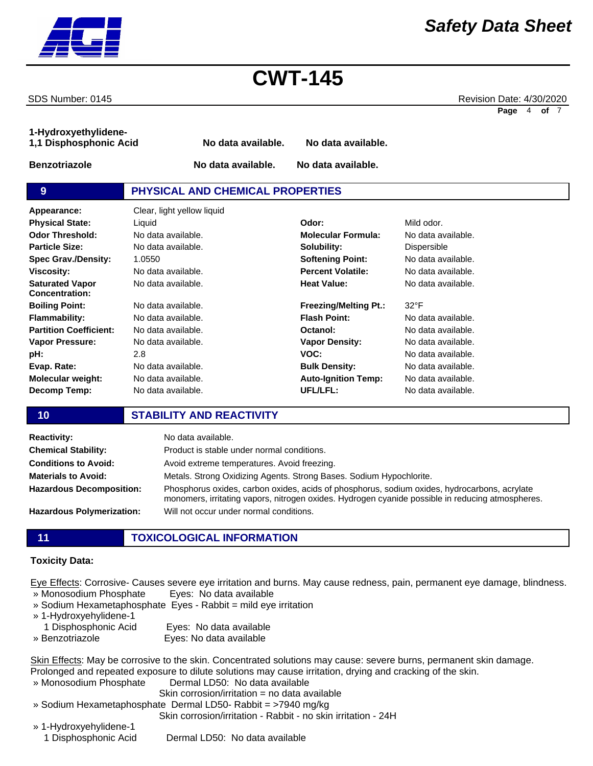SDS Number: 0145 Revision Date: 4/30/2020 **Page** 4 **of** 7

*Safety Data Sheet*

**1-Hydroxyethylidene-1,1 Disphosphonic Acid No data available. No data available. Benzotriazole No data available. No data available. 9 PHYSICAL AND CHEMICAL PROPERTIES Appearance:** Clear, light yellow liquid No data available. **Molecular Formula:** No data available. No data available. 1.0550 No data available. No data available. **Solubility: Softening Point: Percent Volatile: Heat Value:** Dispersible No data available. No data available. No data available. **Odor Threshold: Particle Size: Spec Grav./Density: Viscosity: Saturated Vapor Concentration: Physical State:** Liquid **Odor:** Mild odor.

2.8 No data available. No data available. No data available. **UFL/LFL: Molecular weight: Decomp Temp:**

No data available. No data available. No data available. No data available. **Freezing/Melting Pt.: Flash Point: Octanol: Vapor Density: VOC: Bulk Density: Auto-Ignition Temp:** 32°F No data available. No data available. No data available. No data available. No data available. No data available.

No data available.

### **10 STABILITY AND REACTIVITY**

| <b>Reactivity:</b>               | No data available.                                                                                                                                                                               |
|----------------------------------|--------------------------------------------------------------------------------------------------------------------------------------------------------------------------------------------------|
| <b>Chemical Stability:</b>       | Product is stable under normal conditions.                                                                                                                                                       |
| <b>Conditions to Avoid:</b>      | Avoid extreme temperatures. Avoid freezing.                                                                                                                                                      |
| <b>Materials to Avoid:</b>       | Metals. Strong Oxidizing Agents. Strong Bases. Sodium Hypochlorite.                                                                                                                              |
| <b>Hazardous Decomposition:</b>  | Phosphorus oxides, carbon oxides, acids of phosphorus, sodium oxides, hydrocarbons, acrylate<br>monomers, irritating vapors, nitrogen oxides. Hydrogen cyanide possible in reducing atmospheres. |
| <b>Hazardous Polymerization:</b> | Will not occur under normal conditions.                                                                                                                                                          |

### **11 TOXICOLOGICAL INFORMATION**

#### **Toxicity Data:**

**Boiling Point: Flammability: Partition Coefficient: Vapor Pressure:**

**Evap. Rate:**

**pH:**

Eye Effects: Corrosive- Causes severe eye irritation and burns. May cause redness, pain, permanent eye damage, blindness. » Monosodium Phosphate Eyes: No data available

- » Sodium Hexametaphosphate Eyes Rabbit = mild eye irritation
- » 1-Hydroxyehylidene-1
- 1 Disphosphonic Acid Eyes: No data available
- » Benzotriazole Eyes: No data available

Skin Effects: May be corrosive to the skin. Concentrated solutions may cause: severe burns, permanent skin damage. Prolonged and repeated exposure to dilute solutions may cause irritation, drying and cracking of the skin.

- » Monosodium Phosphate Dermal LD50: No data available Skin corrosion/irritation = no data available » Sodium Hexametaphosphate Dermal LD50- Rabbit = >7940 mg/kg
- Skin corrosion/irritation Rabbit no skin irritation 24H
- » 1-Hydroxyehylidene-1 1 Disphosphonic Acid Dermal LD50: No data available

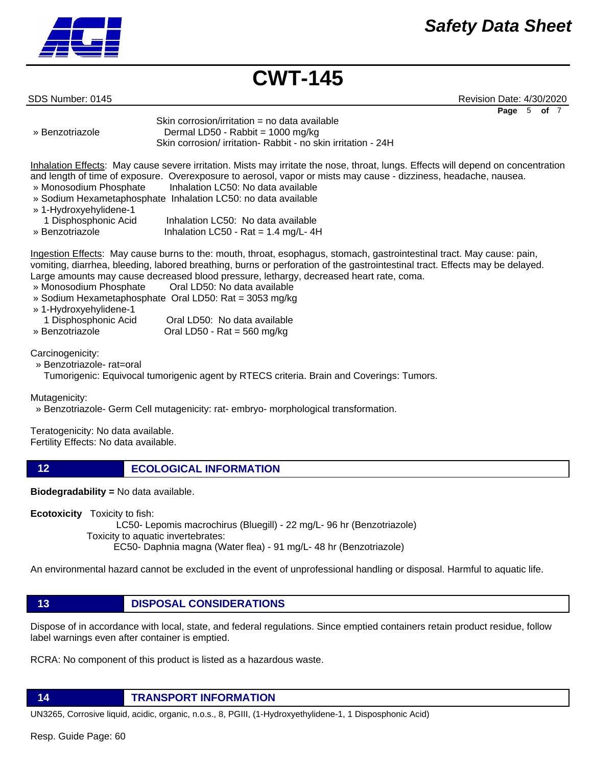## *Safety Data Sheet*



**CWT-145**

SDS Number: 0145 Revision Date: 4/30/2020 **Page** 5 **of** 7

```
Skin corrosion/irritation = no data available
» Benzotriazole Dermal LD50 - Rabbit = 1000 mg/kg
```
Skin corrosion/ irritation- Rabbit - no skin irritation - 24H

Inhalation Effects: May cause severe irritation. Mists may irritate the nose, throat, lungs. Effects will depend on concentration and length of time of exposure. Overexposure to aerosol, vapor or mists may cause - dizziness, headache, nausea. » Monosodium Phosphate Inhalation LC50: No data available

- » Sodium Hexametaphosphate Inhalation LC50: no data available
- » 1-Hydroxyehylidene-1
- 1 Disphosphonic Acid Inhalation LC50: No data available » Benzotriazole Inhalation LC50 - Rat = 1.4 mg/L- 4H

Ingestion Effects: May cause burns to the: mouth, throat, esophagus, stomach, gastrointestinal tract. May cause: pain, vomiting, diarrhea, bleeding, labored breathing, burns or perforation of the gastrointestinal tract. Effects may be delayed. Large amounts may cause decreased blood pressure, lethargy, decreased heart rate, coma.

- » Monosodium Phosphate Oral LD50: No data available
- » Sodium Hexametaphosphate Oral LD50: Rat = 3053 mg/kg
- » 1-Hydroxyehylidene-1

| 1 Disphosphonic Acid | Oral LD50: No data available |
|----------------------|------------------------------|
| » Benzotriazole      | Oral LD50 - Rat = 560 mg/kg  |

Carcinogenicity:

» Benzotriazole- rat=oral

Tumorigenic: Equivocal tumorigenic agent by RTECS criteria. Brain and Coverings: Tumors.

Mutagenicity:

» Benzotriazole- Germ Cell mutagenicity: rat- embryo- morphological transformation.

Teratogenicity: No data available. Fertility Effects: No data available.

**12 ECOLOGICAL INFORMATION** 

**Biodegradability =** No data available.

**Ecotoxicity** Toxicity to fish:

 LC50- Lepomis macrochirus (Bluegill) - 22 mg/L- 96 hr (Benzotriazole) Toxicity to aquatic invertebrates: EC50- Daphnia magna (Water flea) - 91 mg/L- 48 hr (Benzotriazole)

An environmental hazard cannot be excluded in the event of unprofessional handling or disposal. Harmful to aquatic life.

**13 DISPOSAL CONSIDERATIONS**

Dispose of in accordance with local, state, and federal regulations. Since emptied containers retain product residue, follow label warnings even after container is emptied.

RCRA: No component of this product is listed as a hazardous waste.

**14 TRANSPORT INFORMATION**

UN3265, Corrosive liquid, acidic, organic, n.o.s., 8, PGIII, (1-Hydroxyethylidene-1, 1 Disposphonic Acid)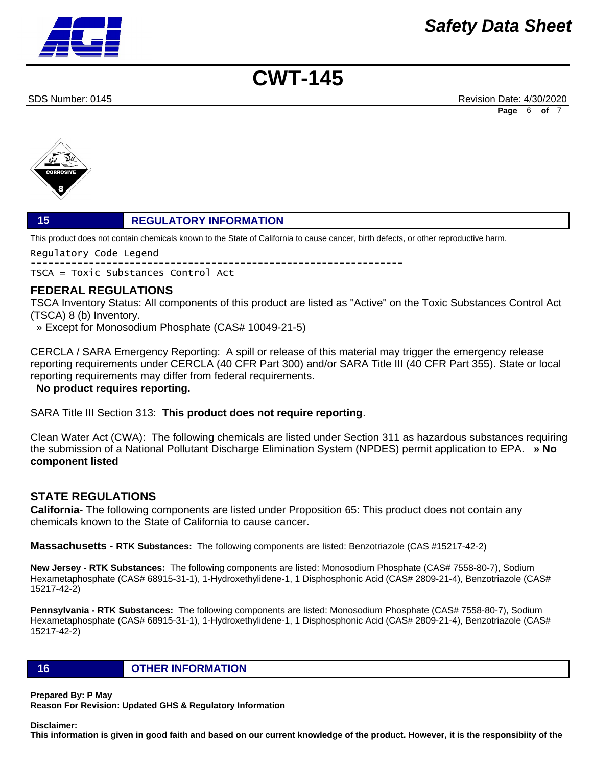## *Safety Data Sheet*

# **CWT-145**

SDS Number: 0145 Revision Date: 4/30/2020 **Page** 6 **of** 7



#### **15 REGULATORY INFORMATION**

This product does not contain chemicals known to the State of California to cause cancer, birth defects, or other reproductive harm.

Regulatory Code Legend ---------------------------------------------------------------- TSCA = Toxic Substances Control Act

#### **FEDERAL REGULATIONS**

TSCA Inventory Status: All components of this product are listed as "Active" on the Toxic Substances Control Act (TSCA) 8 (b) Inventory.

» Except for Monosodium Phosphate (CAS# 10049-21-5)

CERCLA / SARA Emergency Reporting: A spill or release of this material may trigger the emergency release reporting requirements under CERCLA (40 CFR Part 300) and/or SARA Title III (40 CFR Part 355). State or local reporting requirements may differ from federal requirements.

 **No product requires reporting.**

SARA Title III Section 313: **This product does not require reporting**.

Clean Water Act (CWA): The following chemicals are listed under Section 311 as hazardous substances requiring the submission of a National Pollutant Discharge Elimination System (NPDES) permit application to EPA. **» No component listed**

#### **STATE REGULATIONS**

**California-** The following components are listed under Proposition 65: This product does not contain any chemicals known to the State of California to cause cancer.

**Massachusetts - RTK Substances:** The following components are listed: Benzotriazole (CAS #15217-42-2)

**New Jersey - RTK Substances:** The following components are listed: Monosodium Phosphate (CAS# 7558-80-7), Sodium Hexametaphosphate (CAS# 68915-31-1), 1-Hydroxethylidene-1, 1 Disphosphonic Acid (CAS# 2809-21-4), Benzotriazole (CAS# 15217-42-2)

**Pennsylvania - RTK Substances:** The following components are listed: Monosodium Phosphate (CAS# 7558-80-7), Sodium Hexametaphosphate (CAS# 68915-31-1), 1-Hydroxethylidene-1, 1 Disphosphonic Acid (CAS# 2809-21-4), Benzotriazole (CAS# 15217-42-2)

**16 OTHER INFORMATION**

**Prepared By: P May** 

**Reason For Revision: Updated GHS & Regulatory Information** 

#### **Disclaimer:**

**This information is given in good faith and based on our current knowledge of the product. However, it is the responsibiity of the**